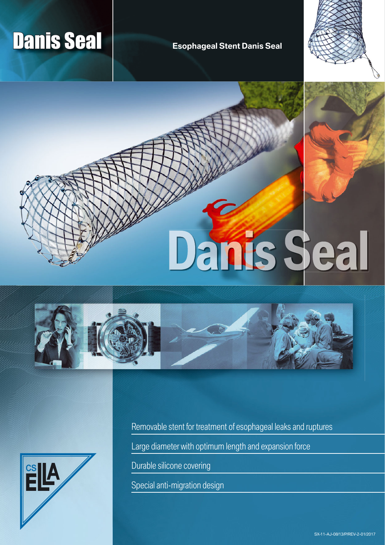# **Danis Seal Contract Seal Esophageal Stent Danis Seal**





**Danis Seal** 





Removable stent for treatment of esophageal leaks and ruptures

Large diameter with optimum length and expansion force

Durable silicone covering

Special anti-migration design